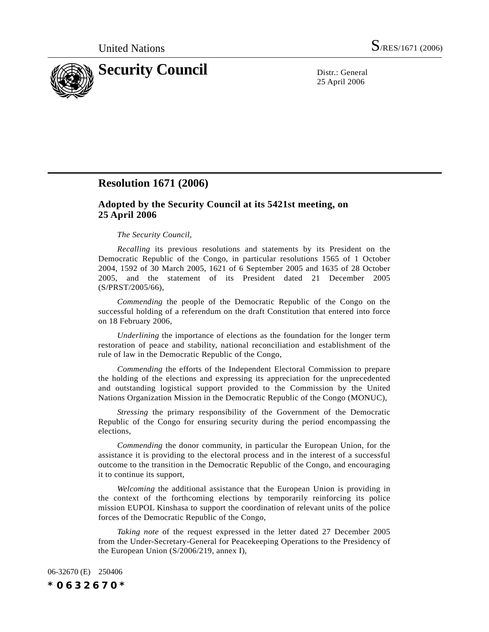

25 April 2006

## **Resolution 1671 (2006)**

## **Adopted by the Security Council at its 5421st meeting, on 25 April 2006**

## *The Security Council*,

*Recalling* its previous resolutions and statements by its President on the Democratic Republic of the Congo, in particular resolutions 1565 of 1 October 2004, 1592 of 30 March 2005, 1621 of 6 September 2005 and 1635 of 28 October 2005, and the statement of its President dated 21 December 2005 (S/PRST/2005/66),

*Commending* the people of the Democratic Republic of the Congo on the successful holding of a referendum on the draft Constitution that entered into force on 18 February 2006,

*Underlining* the importance of elections as the foundation for the longer term restoration of peace and stability, national reconciliation and establishment of the rule of law in the Democratic Republic of the Congo,

*Commending* the efforts of the Independent Electoral Commission to prepare the holding of the elections and expressing its appreciation for the unprecedented and outstanding logistical support provided to the Commission by the United Nations Organization Mission in the Democratic Republic of the Congo (MONUC),

*Stressing* the primary responsibility of the Government of the Democratic Republic of the Congo for ensuring security during the period encompassing the elections,

*Commending* the donor community, in particular the European Union, for the assistance it is providing to the electoral process and in the interest of a successful outcome to the transition in the Democratic Republic of the Congo, and encouraging it to continue its support,

*Welcoming* the additional assistance that the European Union is providing in the context of the forthcoming elections by temporarily reinforcing its police mission EUPOL Kinshasa to support the coordination of relevant units of the police forces of the Democratic Republic of the Congo,

*Taking note* of the request expressed in the letter dated 27 December 2005 from the Under-Secretary-General for Peacekeeping Operations to the Presidency of the European Union (S/2006/219, annex I),

06-32670 (E) 250406 *\*0632670\**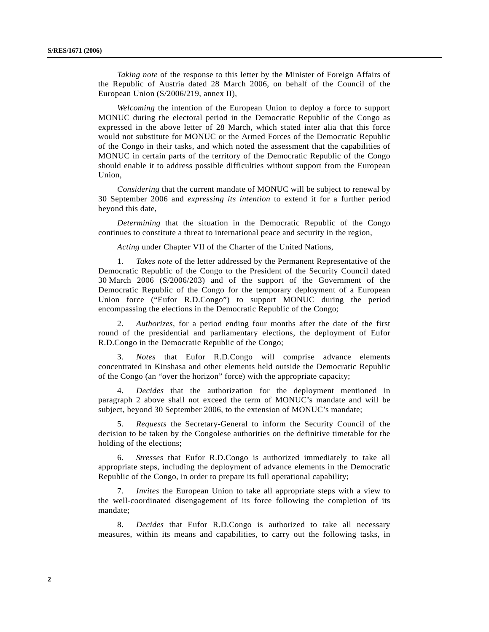*Taking note* of the response to this letter by the Minister of Foreign Affairs of the Republic of Austria dated 28 March 2006, on behalf of the Council of the European Union (S/2006/219, annex II),

*Welcoming* the intention of the European Union to deploy a force to support MONUC during the electoral period in the Democratic Republic of the Congo as expressed in the above letter of 28 March, which stated inter alia that this force would not substitute for MONUC or the Armed Forces of the Democratic Republic of the Congo in their tasks, and which noted the assessment that the capabilities of MONUC in certain parts of the territory of the Democratic Republic of the Congo should enable it to address possible difficulties without support from the European Union,

*Considering* that the current mandate of MONUC will be subject to renewal by 30 September 2006 and *expressing its intention* to extend it for a further period beyond this date,

*Determining* that the situation in the Democratic Republic of the Congo continues to constitute a threat to international peace and security in the region,

*Acting* under Chapter VII of the Charter of the United Nations,

1. *Takes note* of the letter addressed by the Permanent Representative of the Democratic Republic of the Congo to the President of the Security Council dated 30 March 2006 (S/2006/203) and of the support of the Government of the Democratic Republic of the Congo for the temporary deployment of a European Union force ("Eufor R.D.Congo") to support MONUC during the period encompassing the elections in the Democratic Republic of the Congo;

2. *Authorizes*, for a period ending four months after the date of the first round of the presidential and parliamentary elections, the deployment of Eufor R.D.Congo in the Democratic Republic of the Congo;

3. *Notes* that Eufor R.D.Congo will comprise advance elements concentrated in Kinshasa and other elements held outside the Democratic Republic of the Congo (an "over the horizon" force) with the appropriate capacity;

4. *Decides* that the authorization for the deployment mentioned in paragraph 2 above shall not exceed the term of MONUC's mandate and will be subject, beyond 30 September 2006, to the extension of MONUC's mandate;

5. *Requests* the Secretary-General to inform the Security Council of the decision to be taken by the Congolese authorities on the definitive timetable for the holding of the elections;

6. *Stresses* that Eufor R.D.Congo is authorized immediately to take all appropriate steps, including the deployment of advance elements in the Democratic Republic of the Congo, in order to prepare its full operational capability;

7. *Invites* the European Union to take all appropriate steps with a view to the well-coordinated disengagement of its force following the completion of its mandate;

8. *Decides* that Eufor R.D.Congo is authorized to take all necessary measures, within its means and capabilities, to carry out the following tasks, in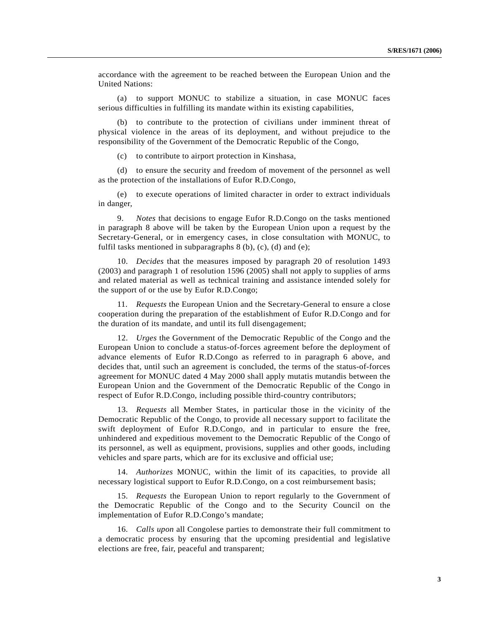accordance with the agreement to be reached between the European Union and the United Nations:

(a) to support MONUC to stabilize a situation, in case MONUC faces serious difficulties in fulfilling its mandate within its existing capabilities,

(b) to contribute to the protection of civilians under imminent threat of physical violence in the areas of its deployment, and without prejudice to the responsibility of the Government of the Democratic Republic of the Congo,

(c) to contribute to airport protection in Kinshasa,

(d) to ensure the security and freedom of movement of the personnel as well as the protection of the installations of Eufor R.D.Congo,

(e) to execute operations of limited character in order to extract individuals in danger,

9. *Notes* that decisions to engage Eufor R.D.Congo on the tasks mentioned in paragraph 8 above will be taken by the European Union upon a request by the Secretary-General, or in emergency cases, in close consultation with MONUC, to fulfil tasks mentioned in subparagraphs 8 (b), (c), (d) and (e);

10. *Decides* that the measures imposed by paragraph 20 of resolution 1493 (2003) and paragraph 1 of resolution 1596 (2005) shall not apply to supplies of arms and related material as well as technical training and assistance intended solely for the support of or the use by Eufor R.D.Congo;

11. *Requests* the European Union and the Secretary-General to ensure a close cooperation during the preparation of the establishment of Eufor R.D.Congo and for the duration of its mandate, and until its full disengagement;

12. *Urges* the Government of the Democratic Republic of the Congo and the European Union to conclude a status-of-forces agreement before the deployment of advance elements of Eufor R.D.Congo as referred to in paragraph 6 above, and decides that, until such an agreement is concluded, the terms of the status-of-forces agreement for MONUC dated 4 May 2000 shall apply mutatis mutandis between the European Union and the Government of the Democratic Republic of the Congo in respect of Eufor R.D.Congo, including possible third-country contributors;

13. *Requests* all Member States, in particular those in the vicinity of the Democratic Republic of the Congo, to provide all necessary support to facilitate the swift deployment of Eufor R.D.Congo, and in particular to ensure the free, unhindered and expeditious movement to the Democratic Republic of the Congo of its personnel, as well as equipment, provisions, supplies and other goods, including vehicles and spare parts, which are for its exclusive and official use;

14. *Authorizes* MONUC, within the limit of its capacities, to provide all necessary logistical support to Eufor R.D.Congo, on a cost reimbursement basis;

15. *Requests* the European Union to report regularly to the Government of the Democratic Republic of the Congo and to the Security Council on the implementation of Eufor R.D.Congo's mandate;

16. *Calls upon* all Congolese parties to demonstrate their full commitment to a democratic process by ensuring that the upcoming presidential and legislative elections are free, fair, peaceful and transparent;